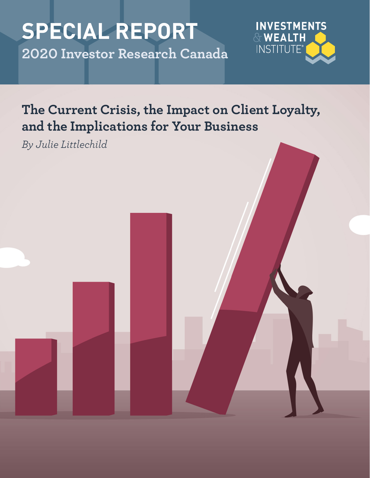# **SPECIAL REPORT 2020 Investor Research Canada**



# **The Current Crisis, the Impact on Client Loyalty, and the Implications for Your Business**

*By Julie Littlechild*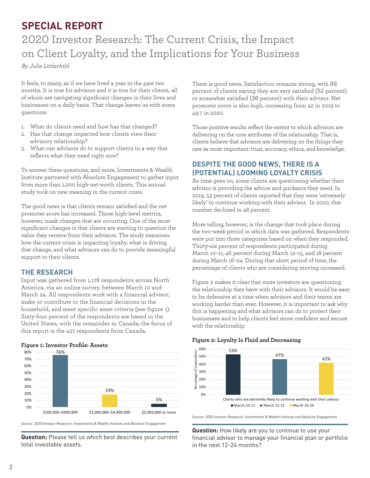### **SPECIAL REPORT**

## 2020 Investor Research: The Current Crisis, the Impact on Client Loyalty, and the Implications for Your Business

*By Julie Littlechild*

It feels, to many, as if we have lived a year in the past two months. It is true for advisors and it is true for their clients, all of whom are navigating significant changes in their lives and businesses on a daily basis. That change leaves us with some questions:

- 1. What do clients need and how has that changed?
- 2. Has that change impacted how clients view their advisory relationship?
- 3. What can advisors do to support clients in a way that reflects what they need right now?

To answer these questions, and more, Investments & Wealth Institute partnered with Absolute Engagement to gather input from more than 1,000 high-net-worth clients. This annual study took on new meaning in the current crisis.

The good news is that clients remain satisfied and the net promoter score has increased. Those high-level metrics, however, mask changes that are occurring. One of the most significant changes is that clients are starting to question the value they receive from their advisors. The study examines how the current crisis is impacting loyalty, what is driving that change, and what advisors can do to provide meaningful support to their clients.

#### **THE RESEARCH**

Input was gathered from 1,178 respondents across North America, via an online survey, between March 10 and March 24. All respondents work with a financial advisor, make or contribute to the financial decisions in the household, and meet specific asset criteria (see figure 1). Sixty-four percent of the respondents are based in the United States, with the remainder in Canada; the focus of this report is the 427 respondents from Canada.

#### **Figure 1: Investor Profile: Assets**



Source: 2020 Investor Research, Investments & Wealth Institute and Absolute Engagement

**Question:** Please tell us which best describes your current total investable assets.

There is good news. Satisfaction remains strong, with 88 percent of clients saying they are very satisfied (52 percent) or somewhat satisfied (36 percent) with their advisor. Net promoter score is also high, increasing from 42 in 2019 to 49.7 in 2020.

Those positive results reflect the extent to which advisors are delivering on the core attributes of the relationship. That is, clients believe that advisors are delivering on the things they rate as most important: trust, accuracy, ethics, and knowledge.

#### **DESPITE THE GOOD NEWS, THERE IS A (POTENTIAL) LOOMING LOYALTY CRISIS**

As time goes on, some clients are questioning whether their advisor is providing the advice and guidance they need. In 2019, 53 percent of clients reported that they were 'extremely likely' to continue working with their advisor. In 2020, that number declined to 48 percent.

More telling, however, is the change that took place during the two-week period in which data was gathered. Respondents were put into three categories based on when they responded. Thirty-six percent of respondents participated during March 10–11, 46 percent during March 12–15, and 18 percent during March 16–24. During that short period of time, the percentage of clients who are considering moving increased.

Figure 2 makes it clear that more investors are questioning the relationship they have with their advisors. It would be easy to be defensive at a time when advisors and their teams are working harder than ever. However, it is important to ask why this is happening and what advisors can do to protect their businesses and to help clients feel more confident and secure with the relationship.

#### 60% 53% dents Percentage of respondents 47% 50% 42% nodse 40%  $\overline{5}$ 30% 20% 10% 0% Clients who are extremely likely to continue working with their advisor.  $March 10-11$  March 12-15 March 16-24

**Figure 2: Loyalty Is Fluid and Decreasing**

Source: 2020 Investor Research, Investments & Wealth Institute and Absolute Engagement

**Question:** How likely are you to continue to use your financial advisor to manage your financial plan or portfolio in the next 12-24 months?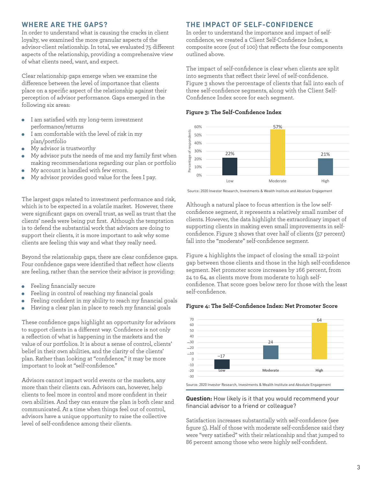#### **WHERE ARE THE GAPS?**

In order to understand what is causing the cracks in client loyalty, we examined the more granular aspects of the advisor-client relationship. In total, we evaluated 75 different aspects of the relationship, providing a comprehensive view of what clients need, want, and expect.

Clear relationship gaps emerge when we examine the difference between the level of importance that clients place on a specific aspect of the relationship against their perception of advisor performance. Gaps emerged in the following six areas:

- I am satisfied with my long-term investment  $\bullet$ performance/returns
- I am comfortable with the level of risk in my ٠ plan/portfolio
- My advisor is trustworthy
- My advisor puts the needs of me and my family first when making recommendations regarding our plan or portfolio
- My account is handled with few errors.
- My advisor provides good value for the fees I pay.

The largest gaps related to investment performance and risk, which is to be expected in a volatile market. However, there were significant gaps on overall trust, as well as trust that the clients' needs were being put first. Although the temptation is to defend the substantial work that advisors are doing to support their clients, it is more important to ask why some clients are feeling this way and what they really need.

Beyond the relationship gaps, there are clear confidence gaps. Four confidence gaps were identified that reflect how clients are feeling, rather than the service their advisor is providing:

- Feeling financially secure  $\bullet$
- Feeling in control of reaching my financial goals ò
- Feeling confident in my ability to reach my financial goals ò
- ò Having a clear plan in place to reach my financial goals

These confidence gaps highlight an opportunity for advisors to support clients in a different way. Confidence is not only a reflection of what is happening in the markets and the value of our portfolios. It is about a sense of control, clients' belief in their own abilities, and the clarity of the clients' plan. Rather than looking at "confidence," it may be more important to look at "self-confidence."

Advisors cannot impact world events or the markets, any more than their clients can. Advisors can, however, help clients to feel more in control and more confident in their own abilities. And they can ensure the plan is both clear and communicated. At a time when things feel out of control, advisors have a unique opportunity to raise the collective level of self-confidence among their clients.

#### **THE IMPACT OF SELF-CONFIDENCE**

In order to understand the importance and impact of selfconfidence, we created a Client Self-Confidence Index, a composite score (out of 100) that reflects the four components outlined above.

The impact of self-confidence is clear when clients are split into segments that reflect their level of self-confidence. Figure 3 shows the percentage of clients that fall into each of three self-confidence segments, along with the Client Self-Confidence Index score for each segment.

**Figure 3: The Self-Confidence Index**



Source: 2020 Investor Research, Investments & Wealth Institute and Absolute Engagement

Although a natural place to focus attention is the low selfconfidence segment, it represents a relatively small number of clients. However, the data highlight the extraordinary impact of supporting clients in making even small improvements in selfconfidence. Figure 3 shows that over half of clients (57 percent) fall into the "moderate" self-confidence segment.

Figure 4 highlights the impact of closing the small 12-point gap between those clients and those in the high self-confidence segment. Net promoter score increases by 166 percent, from 24 to 64, as clients move from moderate to high selfconfidence. That score goes below zero for those with the least self-confidence.

#### **Figure 4: The Self-Confidence Index: Net Promoter Score**



**Question:** How likely is it that you would recommend your financial advisor to a friend or colleague?

Satisfaction increases substantially with self-confidence (see figure 5). Half of those with moderate self-confidence said they were "very satisfied" with their relationship and that jumped to 86 percent among those who were highly self-confident.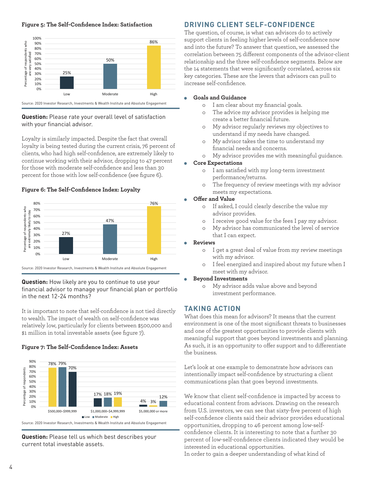#### **Figure 5: The Self-Confidence Index: Satisfaction**



#### **Question:** Please rate your overall level of satisfaction with your financial advisor.

Loyalty is similarly impacted. Despite the fact that overall loyalty is being tested during the current crisis, 76 percent of clients, who had high self-confidence, are extremely likely to continue working with their advisor, dropping to 47 percent for those with moderate self-confidence and less than 30 percent for those with low self-confidence (see figure 6).

#### **Figure 6: The Self-Confidence Index: Loyalty**



**Question:** How likely are you to continue to use your financial advisor to manage your financial plan or portfolio in the next 12-24 months?

It is important to note that self-confidence is not tied directly to wealth. The impact of wealth on self-confidence was relatively low, particularly for clients between \$500,000 and \$1 million in total investable assets (see figure 7).

#### **Figure 7: The Self-Confidence Index: Assets**



**Question:** Please tell us which best describes your current total investable assets.

#### **DRIVING CLIENT SELF-CONFIDENCE**

The question, of course, is what can advisors do to actively support clients in feeling higher levels of self-confidence now and into the future? To answer that question, we assessed the correlation between 75 different components of the advisor-client relationship and the three self-confidence segments. Below are the 14 statements that were significantly correlated, across six key categories. These are the levers that advisors can pull to increase self-confidence.

#### **Goals and Guidance**

- o I am clear about my financial goals.
- o The advice my advisor provides is helping me create a better financial future.
- o My advisor regularly reviews my objectives to understand if my needs have changed.
- o My advisor takes the time to understand my financial needs and concerns.
- o My advisor provides me with meaningful guidance.

#### **Core Expectations**

- o I am satisfied with my long-term investment performance/returns.
- o The frequency of review meetings with my advisor meets my expectations.

#### **Offer and Value**

- o If asked, I could clearly describe the value my advisor provides.
- o I receive good value for the fees I pay my advisor.
- o My advisor has communicated the level of service that I can expect.

#### **Reviews**

- o I get a great deal of value from my review meetings with my advisor.
- o I feel energized and inspired about my future when I meet with my advisor.
- **Beyond Investments** 
	- o My advisor adds value above and beyond investment performance.

#### **TAKING ACTION**

What does this mean for advisors? It means that the current environment is one of the most significant threats to businesses and one of the greatest opportunities to provide clients with meaningful support that goes beyond investments and planning. As such, it is an opportunity to offer support and to differentiate the business.

Let's look at one example to demonstrate how advisors can intentionally impact self-confidence by structuring a client communications plan that goes beyond investments.

We know that client self-confidence is impacted by access to educational content from advisors. Drawing on the research from U.S. investors, we can see that sixty-five percent of high self-confidence clients said their advisor provides educational opportunities, dropping to 46 percent among low-selfconfidence clients. It is interesting to note that a further 30 percent of low-self-confidence clients indicated they would be interested in educational opportunities.

In order to gain a deeper understanding of what kind of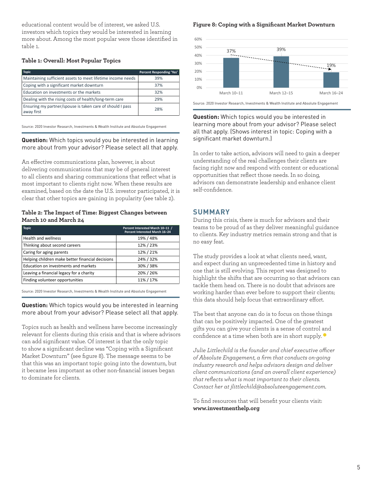educational content would be of interest, we asked U.S. investors which topics they would be interested in learning more about. Among the most popular were those identified in table 1.

#### **Table 1: Overall: Most Popular Topics**

| <b>Topic</b>                                                            | <b>Percent Responding 'Yes'</b> |
|-------------------------------------------------------------------------|---------------------------------|
| Maintaining sufficient assets to meet lifetime income needs             | 39%                             |
| Coping with a significant market downturn                               | 37%                             |
| Education on investments or the markets                                 | 32%                             |
| Dealing with the rising costs of health/long-term care                  | 29%                             |
| Ensuring my partner/spouse is taken care of should I pass<br>away first | 28%                             |

Source: 2020 Investor Research, Investments & Wealth Institute and Absolute Engagement

**Question:** Which topics would you be interested in learning more about from your advisor? Please select all that apply.

An effective communications plan, however, is about delivering communications that may be of general interest to all clients and sharing communications that reflect what is most important to clients right now. When these results are examined, based on the date the U.S. investor participated, it is clear that other topics are gaining in popularity (see table 2).

#### **Table 2: The Impact of Time: Biggest Changes between March 10 and March 24**

| <b>Topic</b>                                     | Percent Interested March 10-11 /<br>Percent Interested March 16-24 |
|--------------------------------------------------|--------------------------------------------------------------------|
| Health and wellness                              | 19% / 48%                                                          |
| Thinking about second careers                    | 12%/23%                                                            |
| Caring for aging parents                         | 12%/21%                                                            |
| Helping children make better financial decisions | 24% / 32%                                                          |
| Education on investments and markets             | 30% / 38%                                                          |
| Leaving a financial legacy for a charity         | 20% / 26%                                                          |
| Finding volunteer opportunities                  | 11% / 17%                                                          |

Source: 2020 Investor Research, Investments & Wealth Institute and Absolute Engagement

**Question:** Which topics would you be interested in learning more about from your advisor? Please select all that apply.

Topics such as health and wellness have become increasingly relevant for clients during this crisis and that is where advisors can add significant value. Of interest is that the only topic to show a significant decline was "Coping with a Significant Market Downturn" (see figure 8). The message seems to be that this was an important topic going into the downturn, but it became less important as other non-financial issues began to dominate for clients.

#### **Figure 8: Coping with a Significant Market Downturn**



Source: 2020 Investor Research, Investments & Wealth Institute and Absolute Engagement

**Question:** Which topics would you be interested in learning more about from your advisor? Please select all that apply. (Shows interest in topic: Coping with a significant market downturn.)

In order to take action, advisors will need to gain a deeper understanding of the real challenges their clients are facing right now and respond with content or educational opportunities that reflect those needs. In so doing, advisors can demonstrate leadership and enhance client self-confidence.

#### **SUMMARY**

During this crisis, there is much for advisors and their teams to be proud of as they deliver meaningful guidance to clients. Key industry metrics remain strong and that is no easy feat.

The study provides a look at what clients need, want, and expect during an unprecedented time in history and one that is still evolving. This report was designed to highlight the shifts that are occurring so that advisors can tackle them head on. There is no doubt that advisors are working harder than ever before to support their clients; this data should help focus that extraordinary effort.

The best that anyone can do is to focus on those things that can be positively impacted. One of the greatest gifts you can give your clients is a sense of control and confidence at a time when both are in short supply.

*Julie Littlechild is the founder and chief executive officer of Absolute Engagement, a firm that conducts on-going industry research and helps advisors design and deliver client communications (and an overall client experience) that reflects what is most important to their clients. Contact her at jlittlechild@absoluteengagement.com.*

To find resources that will benefit your clients visit: **www.investmenthelp.org**